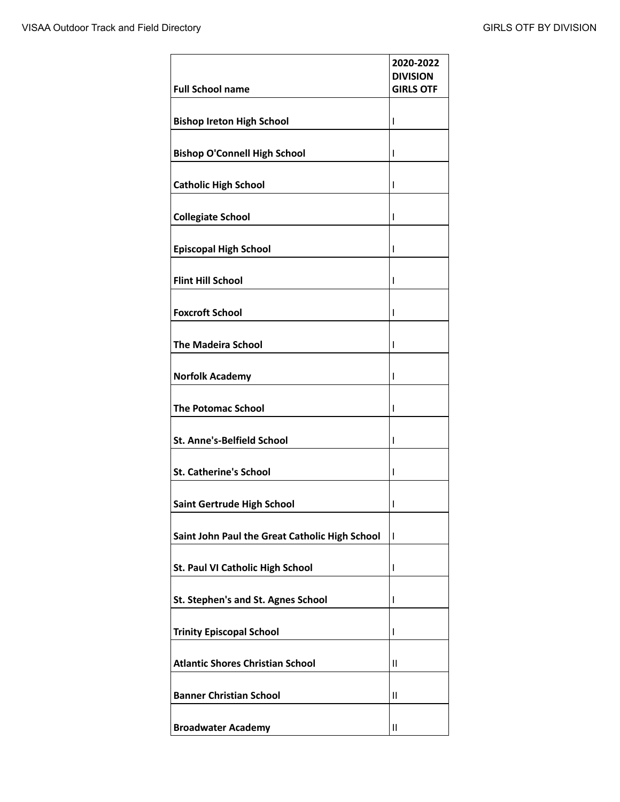| <b>Full School name</b>                        | 2020-2022<br><b>DIVISION</b><br><b>GIRLS OTF</b> |
|------------------------------------------------|--------------------------------------------------|
| <b>Bishop Ireton High School</b>               | ı                                                |
|                                                |                                                  |
| <b>Bishop O'Connell High School</b>            | I                                                |
| <b>Catholic High School</b>                    | ı                                                |
| <b>Collegiate School</b>                       | I                                                |
| <b>Episcopal High School</b>                   | ı                                                |
| <b>Flint Hill School</b>                       | ı                                                |
| <b>Foxcroft School</b>                         | I                                                |
| <b>The Madeira School</b>                      | ı                                                |
| <b>Norfolk Academy</b>                         | ı                                                |
| <b>The Potomac School</b>                      | ı                                                |
| <b>St. Anne's-Belfield School</b>              | ı                                                |
| <b>St. Catherine's School</b>                  | I                                                |
| Saint Gertrude High School                     | I                                                |
| Saint John Paul the Great Catholic High School | T                                                |
| St. Paul VI Catholic High School               | ı                                                |
| St. Stephen's and St. Agnes School             | I                                                |
| <b>Trinity Episcopal School</b>                | ı                                                |
| <b>Atlantic Shores Christian School</b>        | $\mathbf{I}$                                     |
| <b>Banner Christian School</b>                 | $\mathbf{I}$                                     |
| <b>Broadwater Academy</b>                      | Ш                                                |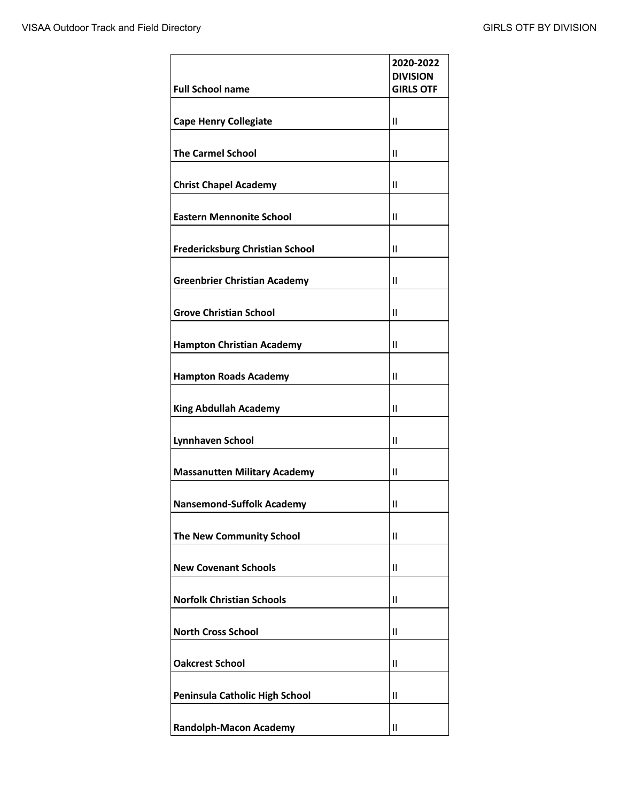| <b>Full School name</b>                | 2020-2022<br><b>DIVISION</b><br><b>GIRLS OTF</b> |
|----------------------------------------|--------------------------------------------------|
| <b>Cape Henry Collegiate</b>           | $\mathsf{II}$                                    |
| <b>The Carmel School</b>               | $\mathsf{II}$                                    |
| <b>Christ Chapel Academy</b>           | $\mathsf{II}$                                    |
| <b>Eastern Mennonite School</b>        | $\mathsf{II}$                                    |
| <b>Fredericksburg Christian School</b> | $\mathsf{II}$                                    |
| <b>Greenbrier Christian Academy</b>    | $\mathbf{I}$                                     |
| <b>Grove Christian School</b>          | $\mathsf{II}$                                    |
| <b>Hampton Christian Academy</b>       | $\mathsf{II}$                                    |
| <b>Hampton Roads Academy</b>           | $\mathsf{II}$                                    |
| <b>King Abdullah Academy</b>           | Ш                                                |
| <b>Lynnhaven School</b>                | $\mathsf{II}$                                    |
| <b>Massanutten Military Academy</b>    | Ш                                                |
| <b>Nansemond-Suffolk Academy</b>       | $\mathsf{II}$                                    |
| <b>The New Community School</b>        | Ш                                                |
| <b>New Covenant Schools</b>            | $\mathsf{II}$                                    |
| <b>Norfolk Christian Schools</b>       | $\mathsf{II}$                                    |
| <b>North Cross School</b>              | $\mathsf{II}$                                    |
| <b>Oakcrest School</b>                 | $\mathsf{II}$                                    |
| Peninsula Catholic High School         | $\mathsf{II}$                                    |
| <b>Randolph-Macon Academy</b>          | $\mathsf{II}$                                    |